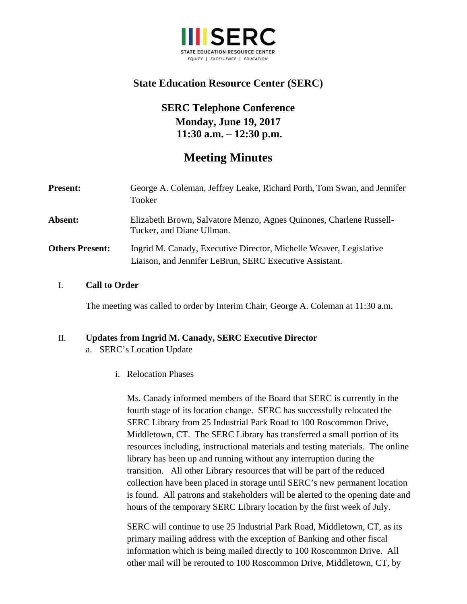

# **State Education Resource Center (SERC)**

# **SERC Telephone Conference Monday, June 19, 2017 11:30 a.m. – 12:30 p.m.**

# **Meeting Minutes**

| <b>Present:</b>        | George A. Coleman, Jeffrey Leake, Richard Porth, Tom Swan, and Jennifer<br>Tooker                                             |
|------------------------|-------------------------------------------------------------------------------------------------------------------------------|
| Absent:                | Elizabeth Brown, Salvatore Menzo, Agnes Quinones, Charlene Russell-<br>Tucker, and Diane Ullman.                              |
| <b>Others Present:</b> | Ingrid M. Canady, Executive Director, Michelle Weaver, Legislative<br>Liaison, and Jennifer LeBrun, SERC Executive Assistant. |

### I. **Call to Order**

The meeting was called to order by Interim Chair, George A. Coleman at 11:30 a.m.

## II. **Updates from Ingrid M. Canady, SERC Executive Director**

- a. SERC's Location Update
	- i. Relocation Phases

Ms. Canady informed members of the Board that SERC is currently in the fourth stage of its location change. SERC has successfully relocated the SERC Library from 25 Industrial Park Road to 100 Roscommon Drive, Middletown, CT. The SERC Library has transferred a small portion of its resources including, instructional materials and testing materials. The online library has been up and running without any interruption during the transition. All other Library resources that will be part of the reduced collection have been placed in storage until SERC's new permanent location is found. All patrons and stakeholders will be alerted to the opening date and hours of the temporary SERC Library location by the first week of July.

SERC will continue to use 25 Industrial Park Road, Middletown, CT, as its primary mailing address with the exception of Banking and other fiscal information which is being mailed directly to 100 Roscommon Drive. All other mail will be rerouted to 100 Roscommon Drive, Middletown, CT, by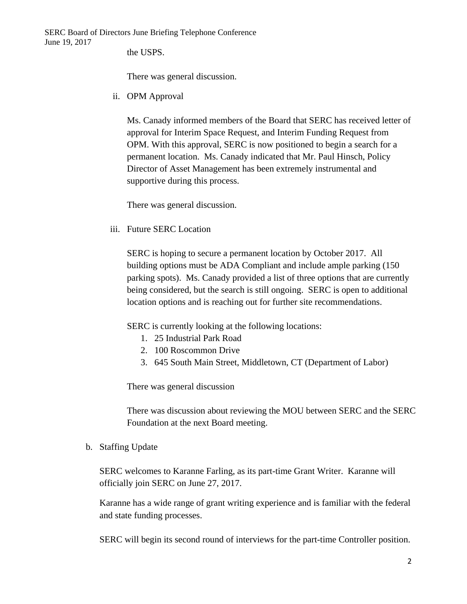SERC Board of Directors June Briefing Telephone Conference June 19, 2017

the USPS.

There was general discussion.

ii. OPM Approval

Ms. Canady informed members of the Board that SERC has received letter of approval for Interim Space Request, and Interim Funding Request from OPM. With this approval, SERC is now positioned to begin a search for a permanent location. Ms. Canady indicated that Mr. Paul Hinsch, Policy Director of Asset Management has been extremely instrumental and supportive during this process.

There was general discussion.

iii. Future SERC Location

SERC is hoping to secure a permanent location by October 2017. All building options must be ADA Compliant and include ample parking (150 parking spots). Ms. Canady provided a list of three options that are currently being considered, but the search is still ongoing. SERC is open to additional location options and is reaching out for further site recommendations.

SERC is currently looking at the following locations:

- 1. 25 Industrial Park Road
- 2. 100 Roscommon Drive
- 3. 645 South Main Street, Middletown, CT (Department of Labor)

There was general discussion

There was discussion about reviewing the MOU between SERC and the SERC Foundation at the next Board meeting.

b. Staffing Update

SERC welcomes to Karanne Farling, as its part-time Grant Writer. Karanne will officially join SERC on June 27, 2017.

Karanne has a wide range of grant writing experience and is familiar with the federal and state funding processes.

SERC will begin its second round of interviews for the part-time Controller position.